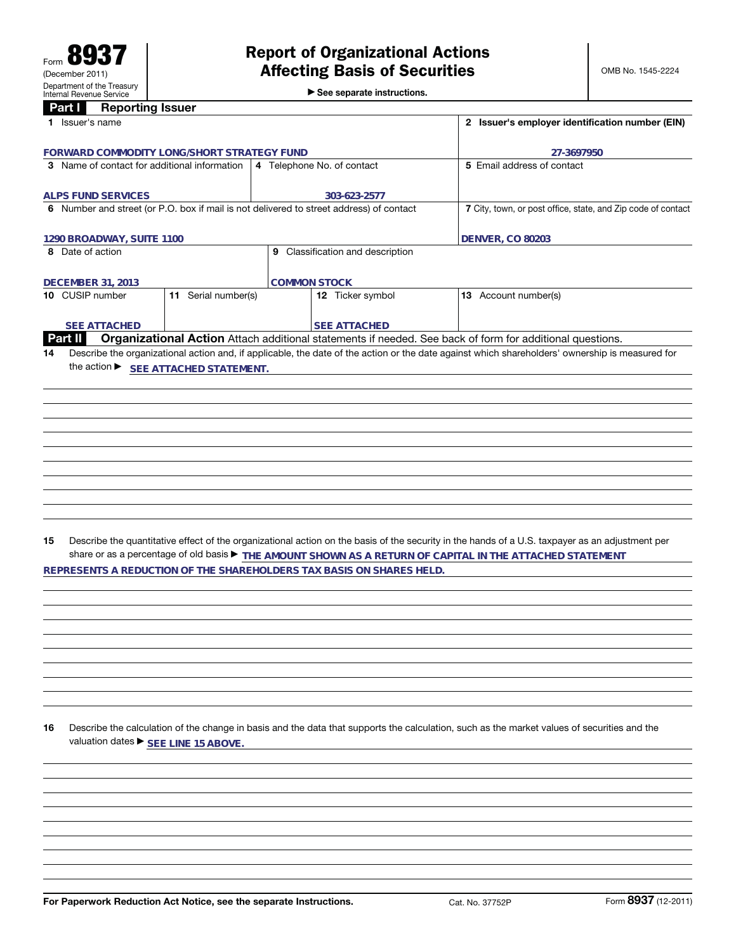►<br>► See separate instructions.

## **Part I Reporting Issuer**

| <b>Fait</b><br>neporting issuer<br>1 Issuer's name                                         |                     |                                                                      | 2 Issuer's employer identification number (EIN)                                                                                                 |
|--------------------------------------------------------------------------------------------|---------------------|----------------------------------------------------------------------|-------------------------------------------------------------------------------------------------------------------------------------------------|
|                                                                                            |                     |                                                                      |                                                                                                                                                 |
| FORWARD COMMODITY LONG/SHORT STRATEGY FUND<br>3 Name of contact for additional information |                     | 4 Telephone No. of contact                                           | 27-3697950<br>5 Email address of contact                                                                                                        |
|                                                                                            |                     |                                                                      |                                                                                                                                                 |
| <b>ALPS FUND SERVICES</b>                                                                  |                     | 303-623-2577                                                         |                                                                                                                                                 |
| 6 Number and street (or P.O. box if mail is not delivered to street address) of contact    |                     |                                                                      | 7 City, town, or post office, state, and Zip code of contact                                                                                    |
| 1290 BROADWAY, SUITE 1100                                                                  |                     |                                                                      | <b>DENVER, CO 80203</b>                                                                                                                         |
| 8 Date of action                                                                           |                     | 9 Classification and description                                     |                                                                                                                                                 |
|                                                                                            |                     |                                                                      |                                                                                                                                                 |
| <b>DECEMBER 31, 2013</b><br>10 CUSIP number                                                | 11 Serial number(s) | <b>COMMON STOCK</b>                                                  |                                                                                                                                                 |
|                                                                                            |                     | 12 Ticker symbol                                                     | 13 Account number(s)                                                                                                                            |
| <b>SEE ATTACHED</b>                                                                        |                     | <b>SEE ATTACHED</b>                                                  |                                                                                                                                                 |
| Part II                                                                                    |                     |                                                                      | Organizational Action Attach additional statements if needed. See back of form for additional questions.                                        |
| 14                                                                                         |                     |                                                                      | Describe the organizational action and, if applicable, the date of the action or the date against which shareholders' ownership is measured for |
| the action ▶ SEE ATTACHED STATEMENT.                                                       |                     |                                                                      |                                                                                                                                                 |
|                                                                                            |                     |                                                                      |                                                                                                                                                 |
|                                                                                            |                     |                                                                      |                                                                                                                                                 |
|                                                                                            |                     |                                                                      |                                                                                                                                                 |
|                                                                                            |                     |                                                                      |                                                                                                                                                 |
|                                                                                            |                     |                                                                      |                                                                                                                                                 |
|                                                                                            |                     |                                                                      |                                                                                                                                                 |
|                                                                                            |                     |                                                                      |                                                                                                                                                 |
|                                                                                            |                     |                                                                      |                                                                                                                                                 |
|                                                                                            |                     |                                                                      |                                                                                                                                                 |
|                                                                                            |                     |                                                                      |                                                                                                                                                 |
|                                                                                            |                     |                                                                      |                                                                                                                                                 |
| 15                                                                                         |                     |                                                                      | Describe the quantitative effect of the organizational action on the basis of the security in the hands of a U.S. taxpayer as an adjustment per |
|                                                                                            |                     |                                                                      | share or as a percentage of old basis > THE AMOUNT SHOWN AS A RETURN OF CAPITAL IN THE ATTACHED STATEMENT                                       |
|                                                                                            |                     | REPRESENTS A REDUCTION OF THE SHAREHOLDERS TAX BASIS ON SHARES HELD. |                                                                                                                                                 |
|                                                                                            |                     |                                                                      |                                                                                                                                                 |
|                                                                                            |                     |                                                                      |                                                                                                                                                 |
|                                                                                            |                     |                                                                      |                                                                                                                                                 |
|                                                                                            |                     |                                                                      |                                                                                                                                                 |
|                                                                                            |                     |                                                                      |                                                                                                                                                 |
|                                                                                            |                     |                                                                      |                                                                                                                                                 |
|                                                                                            |                     |                                                                      |                                                                                                                                                 |
|                                                                                            |                     |                                                                      |                                                                                                                                                 |
|                                                                                            |                     |                                                                      |                                                                                                                                                 |
| 16                                                                                         |                     |                                                                      |                                                                                                                                                 |
| valuation dates ▶ SEE LINE 15 ABOVE.                                                       |                     |                                                                      | Describe the calculation of the change in basis and the data that supports the calculation, such as the market values of securities and the     |
|                                                                                            |                     |                                                                      |                                                                                                                                                 |
|                                                                                            |                     |                                                                      |                                                                                                                                                 |
|                                                                                            |                     |                                                                      |                                                                                                                                                 |
|                                                                                            |                     |                                                                      |                                                                                                                                                 |
|                                                                                            |                     |                                                                      |                                                                                                                                                 |
|                                                                                            |                     |                                                                      |                                                                                                                                                 |
|                                                                                            |                     |                                                                      |                                                                                                                                                 |
|                                                                                            |                     |                                                                      |                                                                                                                                                 |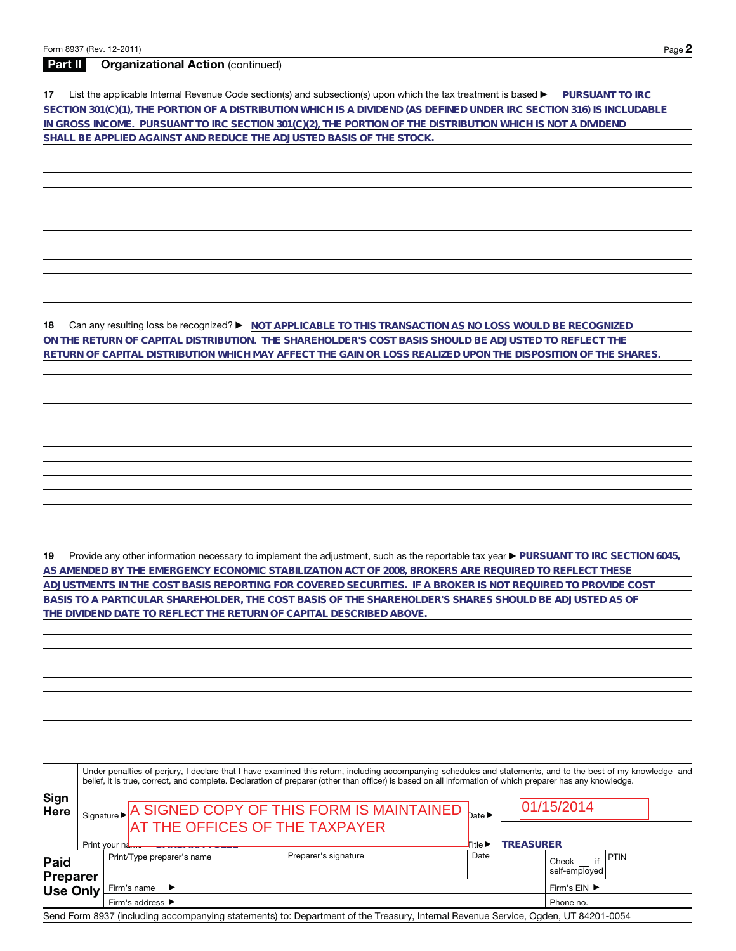## **Part II Organizational Action** (continued)

**17** List the applicable Internal Revenue Code section(s) and subsection(s) upon which the tax treatment is based a **PURSUANT TO IRC SECTION 301(C)(1), THE PORTION OF A DISTRIBUTION WHICH IS A DIVIDEND (AS DEFINED UNDER IRC SECTION 316) IS INCLUDABLE IN GROSS INCOME. PURSUANT TO IRC SECTION 301(C)(2), THE PORTION OF THE DISTRIBUTION WHICH IS NOT A DIVIDEND SHALL BE APPLIED AGAINST AND REDUCE THE ADJUSTED BASIS OF THE STOCK.**

**18** Can any resulting loss be recognized? ▶ NOT APPLICABLE TO THIS TRANSACTION AS NO LOSS WOULD BE RECOGNIZED **ON THE RETURN OF CAPITAL DISTRIBUTION. THE SHAREHOLDER'S COST BASIS SHOULD BE ADJUSTED TO REFLECT THE RETURN OF CAPITAL DISTRIBUTION WHICH MAY AFFECT THE GAIN OR LOSS REALIZED UPON THE DISPOSITION OF THE SHARES.**

19 Provide any other information necessary to implement the adjustment, such as the reportable tax year **PURSUANT TO IRC SECTION 6045**, **AS AMENDED BY THE EMERGENCY ECONOMIC STABILIZATION ACT OF 2008, BROKERS ARE REQUIRED TO REFLECT THESE ADJUSTMENTS IN THE COST BASIS REPORTING FOR COVERED SECURITIES. IF A BROKER IS NOT REQUIRED TO PROVIDE COST BASIS TO A PARTICULAR SHAREHOLDER, THE COST BASIS OF THE SHAREHOLDER'S SHARES SHOULD BE ADJUSTED AS OF THE DIVIDEND DATE TO REFLECT THE RETURN OF CAPITAL DESCRIBED ABOVE.**

|                         |               |                                   | Under penalties of perjury, I declare that I have examined this return, including accompanying schedules and statements, and to the best of my knowledge and<br>belief, it is true, correct, and complete. Declaration of preparer (other than officer) is based on all information of which preparer has any knowledge. |                  |                  |                                    |      |  |
|-------------------------|---------------|-----------------------------------|--------------------------------------------------------------------------------------------------------------------------------------------------------------------------------------------------------------------------------------------------------------------------------------------------------------------------|------------------|------------------|------------------------------------|------|--|
| Sign<br><b>Here</b>     |               |                                   | Signature $\blacktriangleright$ A SIGNED COPY OF THIS FORM IS MAINTAINED $_{\text{date}}$<br><b>AT THE OFFICES OF THE TAXPAYER</b>                                                                                                                                                                                       |                  |                  | 01/15/2014                         |      |  |
|                         | Print your nd |                                   |                                                                                                                                                                                                                                                                                                                          | <b>l⊺</b> itle ▶ | <b>TREASURER</b> |                                    |      |  |
| Paid<br><b>Preparer</b> |               | Print/Type preparer's name        | Preparer's signature                                                                                                                                                                                                                                                                                                     | Date             |                  | Check<br>self-employed             | PTIN |  |
| <b>Use Only</b>         |               | Firm's name $\blacktriangleright$ |                                                                                                                                                                                                                                                                                                                          |                  |                  | Firm's $EIN$ $\blacktriangleright$ |      |  |
|                         |               | Firm's address ▶                  |                                                                                                                                                                                                                                                                                                                          |                  |                  | Phone no.                          |      |  |
|                         |               |                                   | Send Form 8937 (including accompanying statements) to: Department of the Treasury, Internal Revenue Service, Ogden, UT 84201-0054                                                                                                                                                                                        |                  |                  |                                    |      |  |